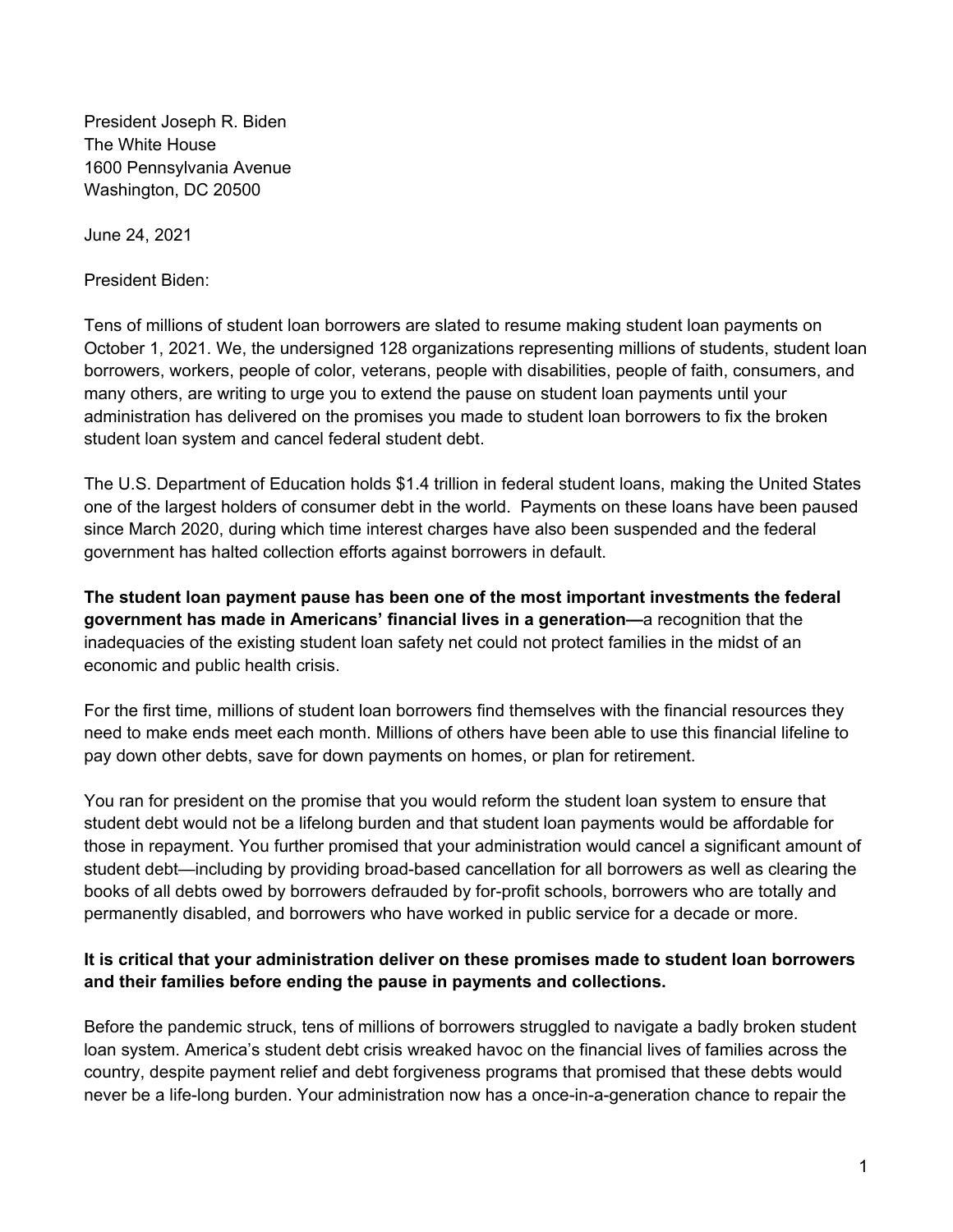President Joseph R. Biden The White House 1600 Pennsylvania Avenue Washington, DC 20500

June 24, 2021

President Biden:

Tens of millions of student loan borrowers are slated to resume making student loan payments on October 1, 2021. We, the undersigned 128 organizations representing millions of students, student loan borrowers, workers, people of color, veterans, people with disabilities, people of faith, consumers, and many others, are writing to urge you to extend the pause on student loan payments until your administration has delivered on the promises you made to student loan borrowers to fix the broken student loan system and cancel federal student debt.

The U.S. Department of Education holds \$1.4 trillion in federal student loans, making the United States one of the largest holders of consumer debt in the world. Payments on these loans have been paused since March 2020, during which time interest charges have also been suspended and the federal government has halted collection efforts against borrowers in default.

**The student loan payment pause has been one of the most important investments the federal government has made in Americans' financial lives in a generation—**a recognition that the inadequacies of the existing student loan safety net could not protect families in the midst of an economic and public health crisis.

For the first time, millions of student loan borrowers find themselves with the financial resources they need to make ends meet each month. Millions of others have been able to use this financial lifeline to pay down other debts, save for down payments on homes, or plan for retirement.

You ran for president on the promise that you would reform the student loan system to ensure that student debt would not be a lifelong burden and that student loan payments would be affordable for those in repayment. You further promised that your administration would cancel a significant amount of student debt—including by providing broad-based cancellation for all borrowers as well as clearing the books of all debts owed by borrowers defrauded by for-profit schools, borrowers who are totally and permanently disabled, and borrowers who have worked in public service for a decade or more.

## **It is critical that your administration deliver on these promises made to student loan borrowers and their families before ending the pause in payments and collections.**

Before the pandemic struck, tens of millions of borrowers struggled to navigate a badly broken student loan system. America's student debt crisis wreaked havoc on the financial lives of families across the country, despite payment relief and debt forgiveness programs that promised that these debts would never be a life-long burden. Your administration now has a once-in-a-generation chance to repair the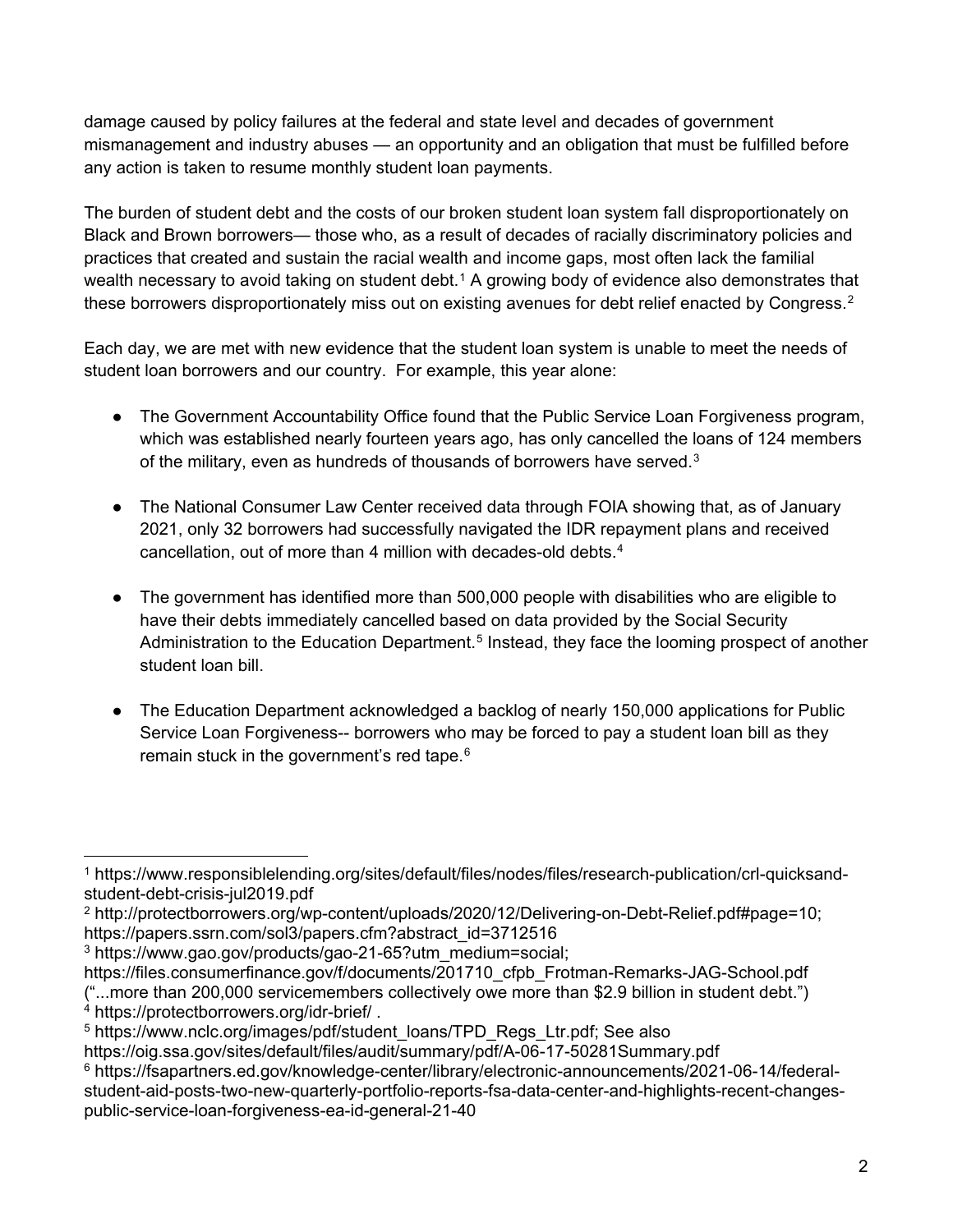damage caused by policy failures at the federal and state level and decades of government mismanagement and industry abuses — an opportunity and an obligation that must be fulfilled before any action is taken to resume monthly student loan payments.

The burden of student debt and the costs of our broken student loan system fall disproportionately on Black and Brown borrowers— those who, as a result of decades of racially discriminatory policies and practices that created and sustain the racial wealth and income gaps, most often lack the familial wealth necessary to avoid taking on student debt.<sup>[1](#page-1-0)</sup> A growing body of evidence also demonstrates that these borrowers disproportionately miss out on existing avenues for debt relief enacted by Congress.<sup>[2](#page-1-1)</sup>

Each day, we are met with new evidence that the student loan system is unable to meet the needs of student loan borrowers and our country. For example, this year alone:

- The Government Accountability Office found that the Public Service Loan Forgiveness program, which was established nearly fourteen years ago, has only cancelled the loans of 124 members of the military, even as hundreds of thousands of borrowers have served.<sup>3</sup>
- The National Consumer Law Center received data through FOIA showing that, as of January 2021, only 32 borrowers had successfully navigated the IDR repayment plans and received cancellation, out of more than 4 million with decades-old debts.[4](#page-1-3)
- The government has identified more than 500,000 people with disabilities who are eligible to have their debts immediately cancelled based on data provided by the Social Security Administration to the Education Department.<sup>[5](#page-1-4)</sup> Instead, they face the looming prospect of another student loan bill.
- The Education Department acknowledged a backlog of nearly 150,000 applications for Public Service Loan Forgiveness-- borrowers who may be forced to pay a student loan bill as they remain stuck in the government's red tape.<sup>[6](#page-1-5)</sup>

<span id="page-1-0"></span> $\overline{a}$ <sup>1</sup> https://www.responsiblelending.org/sites/default/files/nodes/files/research-publication/crl-quicksandstudent-debt-crisis-jul2019.pdf

<span id="page-1-1"></span><sup>2</sup> http://protectborrowers.org/wp-content/uploads/2020/12/Delivering-on-Debt-Relief.pdf#page=10; https://papers.ssrn.com/sol3/papers.cfm?abstract\_id=3712516

<span id="page-1-2"></span><sup>3</sup> https://www.gao.gov/products/gao-21-65?utm\_medium=social;

https://files.consumerfinance.gov/f/documents/201710\_cfpb\_Frotman-Remarks-JAG-School.pdf

<sup>(&</sup>quot;...more than 200,000 servicemembers collectively owe more than \$2.9 billion in student debt.")<br>4 https://protectborrowers.org/idr-brief/.

<span id="page-1-4"></span><span id="page-1-3"></span><sup>&</sup>lt;sup>5</sup> https://www.nclc.org/images/pdf/student\_loans/TPD\_Regs\_Ltr.pdf; See also

https://oig.ssa.gov/sites/default/files/audit/summary/pdf/A-06-17-50281Summary.pdf

<span id="page-1-5"></span><sup>6</sup> https://fsapartners.ed.gov/knowledge-center/library/electronic-announcements/2021-06-14/federalstudent-aid-posts-two-new-quarterly-portfolio-reports-fsa-data-center-and-highlights-recent-changespublic-service-loan-forgiveness-ea-id-general-21-40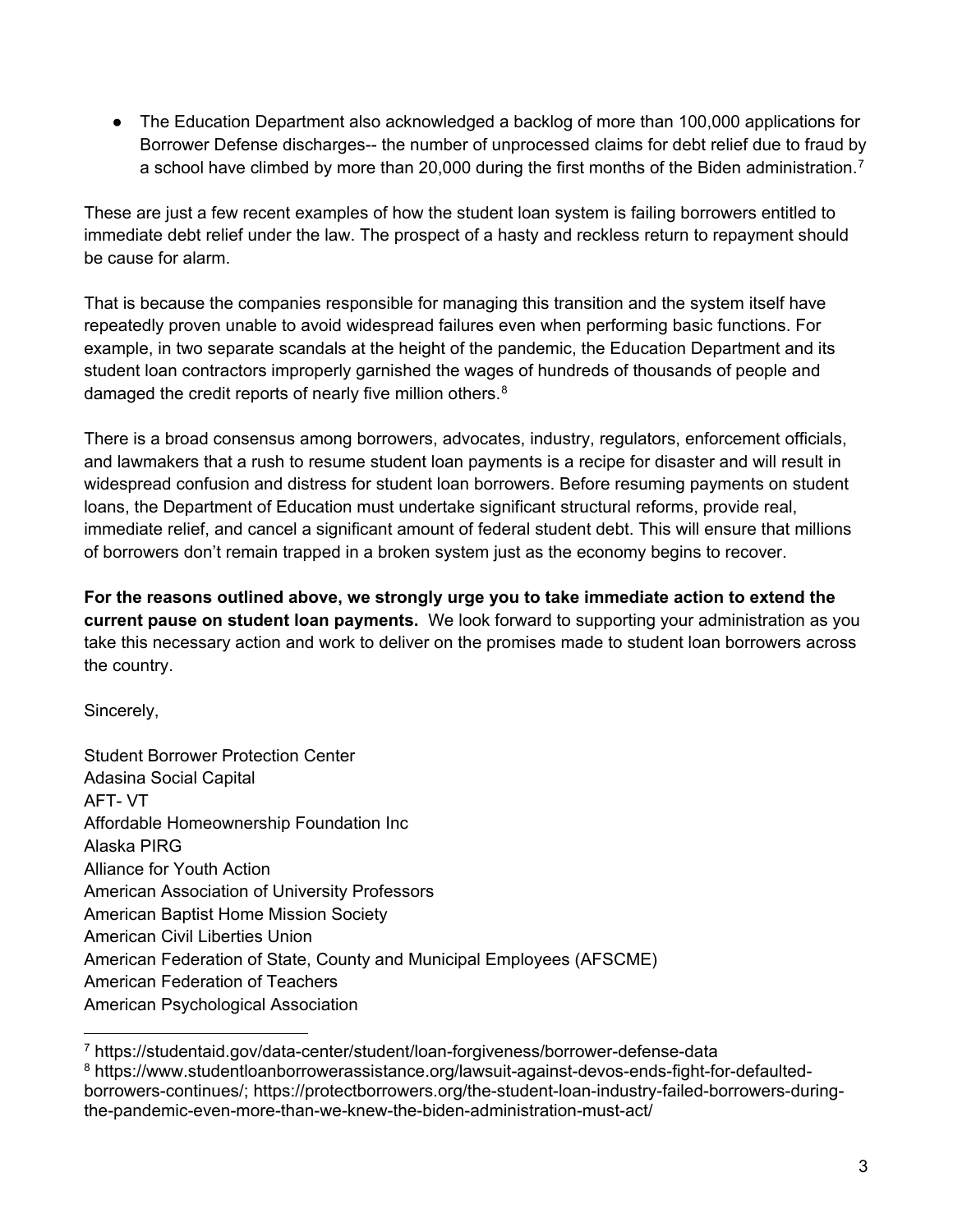● The Education Department also acknowledged a backlog of more than 100,000 applications for Borrower Defense discharges-- the number of unprocessed claims for debt relief due to fraud by a school have climbed by more than 20,000 during the first months of the Biden administration.<sup>[7](#page-2-0)</sup>

These are just a few recent examples of how the student loan system is failing borrowers entitled to immediate debt relief under the law. The prospect of a hasty and reckless return to repayment should be cause for alarm.

That is because the companies responsible for managing this transition and the system itself have repeatedly proven unable to avoid widespread failures even when performing basic functions. For example, in two separate scandals at the height of the pandemic, the Education Department and its student loan contractors improperly garnished the wages of hundreds of thousands of people and damaged the credit reports of nearly five million others.<sup>[8](#page-2-1)</sup>

There is a broad consensus among borrowers, advocates, industry, regulators, enforcement officials, and lawmakers that a rush to resume student loan payments is a recipe for disaster and will result in widespread confusion and distress for student loan borrowers. Before resuming payments on student loans, the Department of Education must undertake significant structural reforms, provide real, immediate relief, and cancel a significant amount of federal student debt. This will ensure that millions of borrowers don't remain trapped in a broken system just as the economy begins to recover.

**For the reasons outlined above, we strongly urge you to take immediate action to extend the current pause on student loan payments.** We look forward to supporting your administration as you take this necessary action and work to deliver on the promises made to student loan borrowers across the country.

Sincerely,

Student Borrower Protection Center Adasina Social Capital AFT- VT Affordable Homeownership Foundation Inc Alaska PIRG Alliance for Youth Action American Association of University Professors American Baptist Home Mission Society American Civil Liberties Union American Federation of State, County and Municipal Employees (AFSCME) American Federation of Teachers American Psychological Association

<span id="page-2-0"></span> $\overline{a}$ <sup>7</sup> https://studentaid.gov/data-center/student/loan-forgiveness/borrower-defense-data

<span id="page-2-1"></span><sup>8</sup> https://www.studentloanborrowerassistance.org/lawsuit-against-devos-ends-fight-for-defaultedborrowers-continues/; https://protectborrowers.org/the-student-loan-industry-failed-borrowers-duringthe-pandemic-even-more-than-we-knew-the-biden-administration-must-act/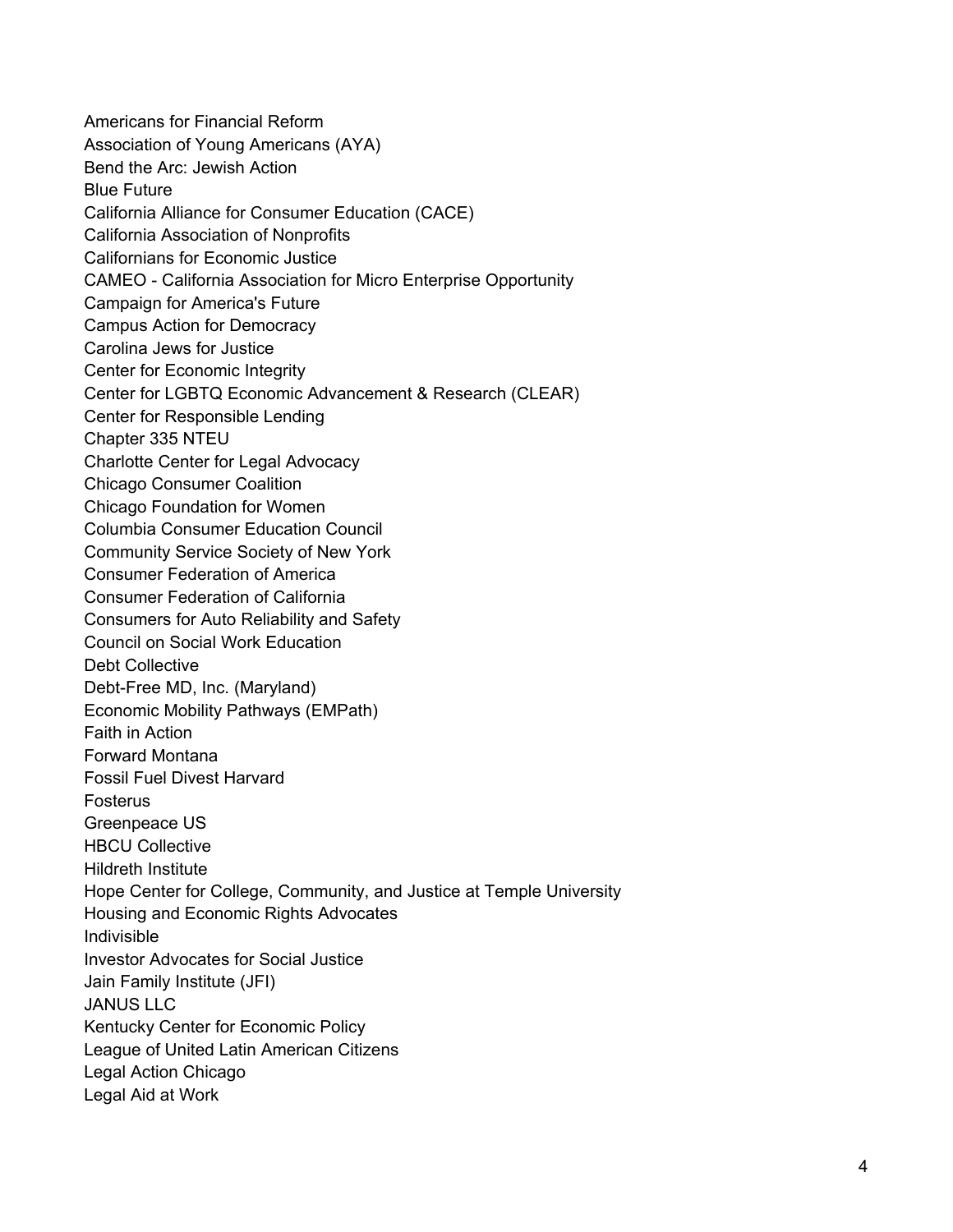Americans for Financial Reform Association of Young Americans (AYA) Bend the Arc: Jewish Action Blue Future California Alliance for Consumer Education (CACE) California Association of Nonprofits Californians for Economic Justice CAMEO - California Association for Micro Enterprise Opportunity Campaign for America's Future Campus Action for Democracy Carolina Jews for Justice Center for Economic Integrity Center for LGBTQ Economic Advancement & Research (CLEAR) Center for Responsible Lending Chapter 335 NTEU Charlotte Center for Legal Advocacy Chicago Consumer Coalition Chicago Foundation for Women Columbia Consumer Education Council Community Service Society of New York Consumer Federation of America Consumer Federation of California Consumers for Auto Reliability and Safety Council on Social Work Education Debt Collective Debt-Free MD, Inc. (Maryland) Economic Mobility Pathways (EMPath) Faith in Action Forward Montana Fossil Fuel Divest Harvard Fosterus Greenpeace US HBCU Collective Hildreth Institute Hope Center for College, Community, and Justice at Temple University Housing and Economic Rights Advocates Indivisible Investor Advocates for Social Justice Jain Family Institute (JFI) JANUS LLC Kentucky Center for Economic Policy League of United Latin American Citizens Legal Action Chicago Legal Aid at Work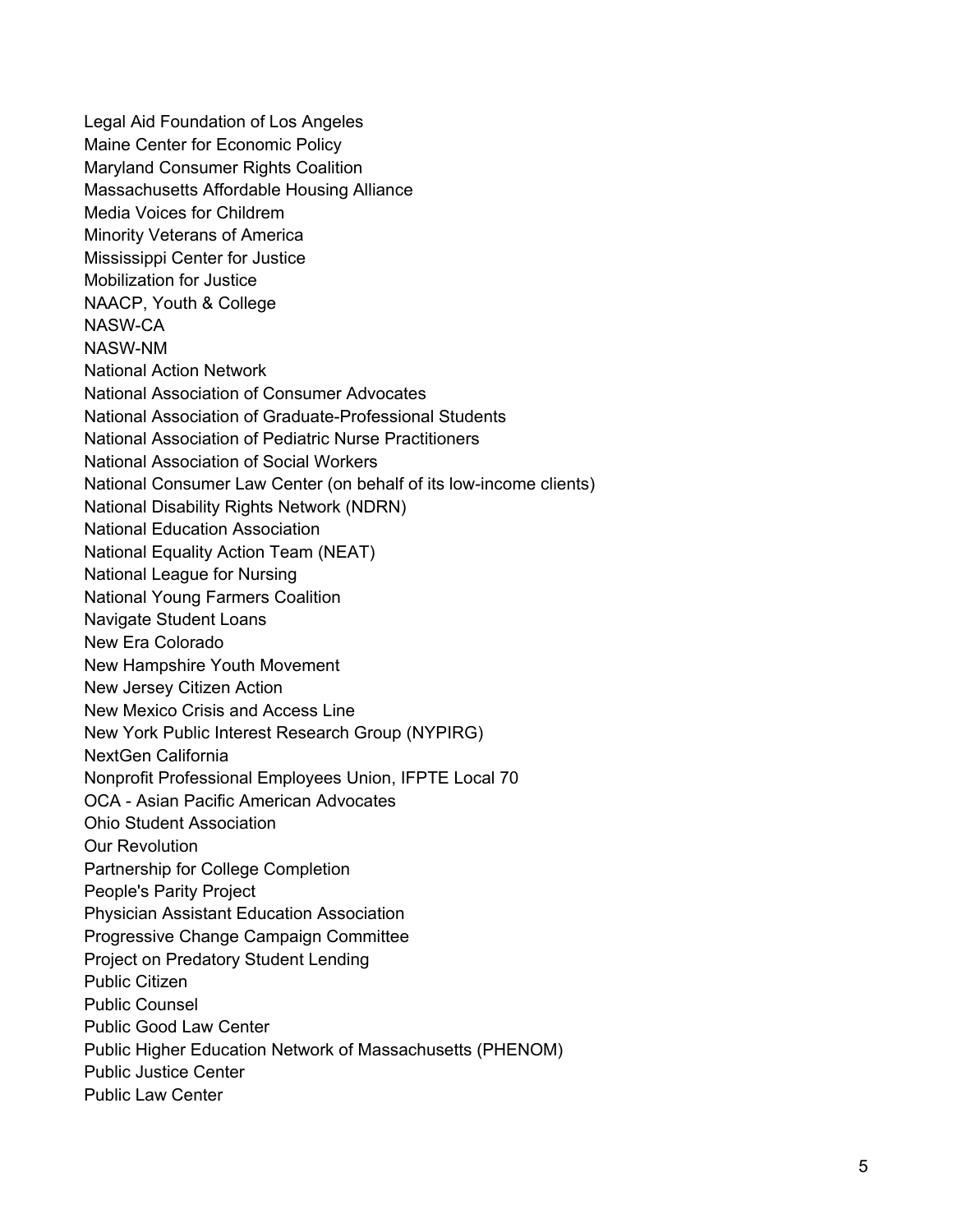Legal Aid Foundation of Los Angeles Maine Center for Economic Policy Maryland Consumer Rights Coalition Massachusetts Affordable Housing Alliance Media Voices for Childrem Minority Veterans of America Mississippi Center for Justice Mobilization for Justice NAACP, Youth & College NASW-CA NASW-NM National Action Network National Association of Consumer Advocates National Association of Graduate-Professional Students National Association of Pediatric Nurse Practitioners National Association of Social Workers National Consumer Law Center (on behalf of its low-income clients) National Disability Rights Network (NDRN) National Education Association National Equality Action Team (NEAT) National League for Nursing National Young Farmers Coalition Navigate Student Loans New Era Colorado New Hampshire Youth Movement New Jersey Citizen Action New Mexico Crisis and Access Line New York Public Interest Research Group (NYPIRG) NextGen California Nonprofit Professional Employees Union, IFPTE Local 70 OCA - Asian Pacific American Advocates Ohio Student Association Our Revolution Partnership for College Completion People's Parity Project Physician Assistant Education Association Progressive Change Campaign Committee Project on Predatory Student Lending Public Citizen Public Counsel Public Good Law Center Public Higher Education Network of Massachusetts (PHENOM) Public Justice Center Public Law Center